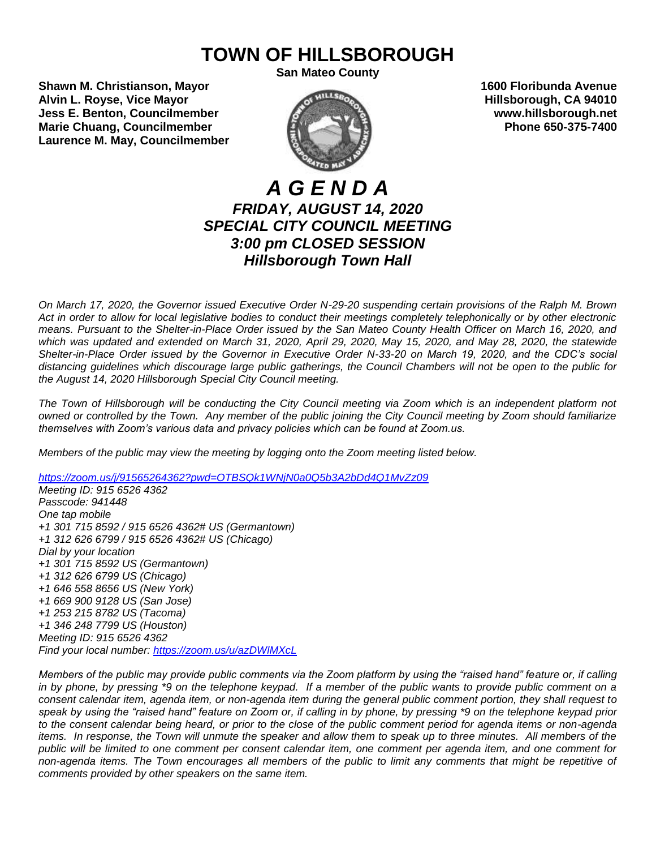# **TOWN OF HILLSBOROUGH**

**San Mateo County**

**Shawn M. Christianson, Mayor 1600 Floribunda Avenue Alvin L. Royse, Vice Mayor Alvin L. Royse, Vice Mayor Alvin L. Royse, Vice Mayor Hillsborough, CA 94010 Jess E. Benton, Councilmember www.hillsborough.net Marie Chuang, Councilmember**  $\blacksquare$  **Phone 650-375-7400 Laurence M. May, Councilmember**



# *A G E N D A FRIDAY, AUGUST 14, 2020 SPECIAL CITY COUNCIL MEETING 3:00 pm CLOSED SESSION Hillsborough Town Hall*

*On March 17, 2020, the Governor issued Executive Order N-29-20 suspending certain provisions of the Ralph M. Brown Act in order to allow for local legislative bodies to conduct their meetings completely telephonically or by other electronic means. Pursuant to the Shelter-in-Place Order issued by the San Mateo County Health Officer on March 16, 2020, and which was updated and extended on March 31, 2020, April 29, 2020, May 15, 2020, and May 28, 2020, the statewide Shelter-in-Place Order issued by the Governor in Executive Order N-33-20 on March 19, 2020, and the CDC's social distancing guidelines which discourage large public gatherings, the Council Chambers will not be open to the public for the August 14, 2020 Hillsborough Special City Council meeting.*

*The Town of Hillsborough will be conducting the City Council meeting via Zoom which is an independent platform not owned or controlled by the Town. Any member of the public joining the City Council meeting by Zoom should familiarize themselves with Zoom's various data and privacy policies which can be found at Zoom.us.*

*Members of the public may view the meeting by logging onto the Zoom meeting listed below.* 

*<https://zoom.us/j/91565264362?pwd=OTBSQk1WNjN0a0Q5b3A2bDd4Q1MvZz09>*

*Meeting ID: 915 6526 4362 Passcode: 941448 One tap mobile +1 301 715 8592 / 915 6526 4362# US (Germantown) +1 312 626 6799 / 915 6526 4362# US (Chicago) Dial by your location +1 301 715 8592 US (Germantown) +1 312 626 6799 US (Chicago) +1 646 558 8656 US (New York) +1 669 900 9128 US (San Jose) +1 253 215 8782 US (Tacoma) +1 346 248 7799 US (Houston) Meeting ID: 915 6526 4362 Find your local number:<https://zoom.us/u/azDWlMXcL>*

*Members of the public may provide public comments via the Zoom platform by using the "raised hand" feature or, if calling in by phone, by pressing \*9 on the telephone keypad. If a member of the public wants to provide public comment on a consent calendar item, agenda item, or non-agenda item during the general public comment portion, they shall request to speak by using the "raised hand" feature on Zoom or, if calling in by phone, by pressing \*9 on the telephone keypad prior to the consent calendar being heard, or prior to the close of the public comment period for agenda items or non-agenda items. In response, the Town will unmute the speaker and allow them to speak up to three minutes. All members of the public will be limited to one comment per consent calendar item, one comment per agenda item, and one comment for non-agenda items. The Town encourages all members of the public to limit any comments that might be repetitive of comments provided by other speakers on the same item.*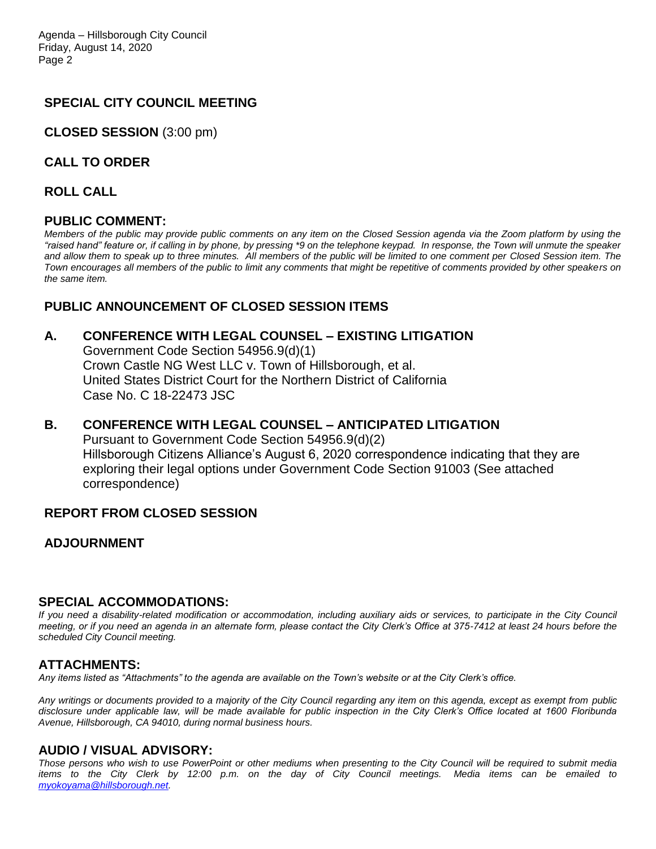# **SPECIAL CITY COUNCIL MEETING**

**CLOSED SESSION** (3:00 pm)

**CALL TO ORDER**

**ROLL CALL**

#### **PUBLIC COMMENT:**

*Members of the public may provide public comments on any item on the Closed Session agenda via the Zoom platform by using the "raised hand" feature or, if calling in by phone, by pressing \*9 on the telephone keypad. In response, the Town will unmute the speaker and allow them to speak up to three minutes. All members of the public will be limited to one comment per Closed Session item. The Town encourages all members of the public to limit any comments that might be repetitive of comments provided by other speakers on the same item.*

# **PUBLIC ANNOUNCEMENT OF CLOSED SESSION ITEMS**

## **A. CONFERENCE WITH LEGAL COUNSEL – EXISTING LITIGATION**

Government Code Section 54956.9(d)(1) Crown Castle NG West LLC v. Town of Hillsborough, et al. United States District Court for the Northern District of California Case No. C 18-22473 JSC

### **B. CONFERENCE WITH LEGAL COUNSEL – ANTICIPATED LITIGATION**  Pursuant to Government Code Section 54956.9(d)(2) Hillsborough Citizens Alliance's August 6, 2020 correspondence indicating that they are exploring their legal options under Government Code Section 91003 (See attached correspondence)

# **REPORT FROM CLOSED SESSION**

# **ADJOURNMENT**

#### **SPECIAL ACCOMMODATIONS:**

*If you need a disability-related modification or accommodation, including auxiliary aids or services, to participate in the City Council meeting, or if you need an agenda in an alternate form, please contact the City Clerk's Office at 375-7412 at least 24 hours before the scheduled City Council meeting.*

#### **ATTACHMENTS:**

*Any items listed as "Attachments" to the agenda are available on the Town's website or at the City Clerk's office.*

*Any writings or documents provided to a majority of the City Council regarding any item on this agenda, except as exempt from public disclosure under applicable law, will be made available for public inspection in the City Clerk's Office located at 1600 Floribunda Avenue, Hillsborough, CA 94010, during normal business hours.*

# **AUDIO / VISUAL ADVISORY:**

*Those persons who wish to use PowerPoint or other mediums when presenting to the City Council will be required to submit media items to the City Clerk by 12:00 p.m. on the day of City Council meetings. Media items can be emailed to [myokoyama@hillsborough.net.](mailto:myokoyama@hillsborough.net)*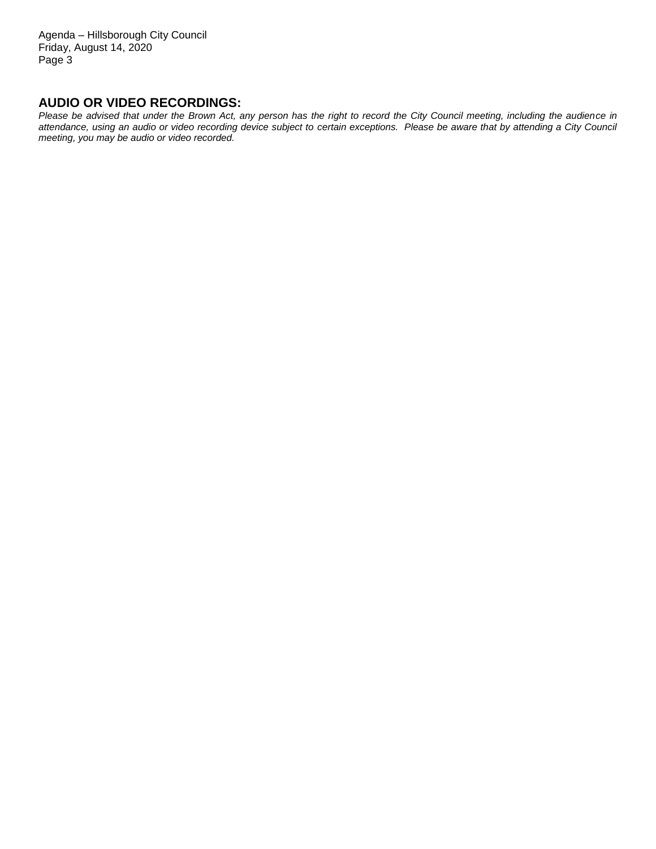Agenda – Hillsborough City Council Friday, August 14, 2020 Page 3

### **AUDIO OR VIDEO RECORDINGS:**

*Please be advised that under the Brown Act, any person has the right to record the City Council meeting, including the audience in attendance, using an audio or video recording device subject to certain exceptions. Please be aware that by attending a City Council meeting, you may be audio or video recorded.*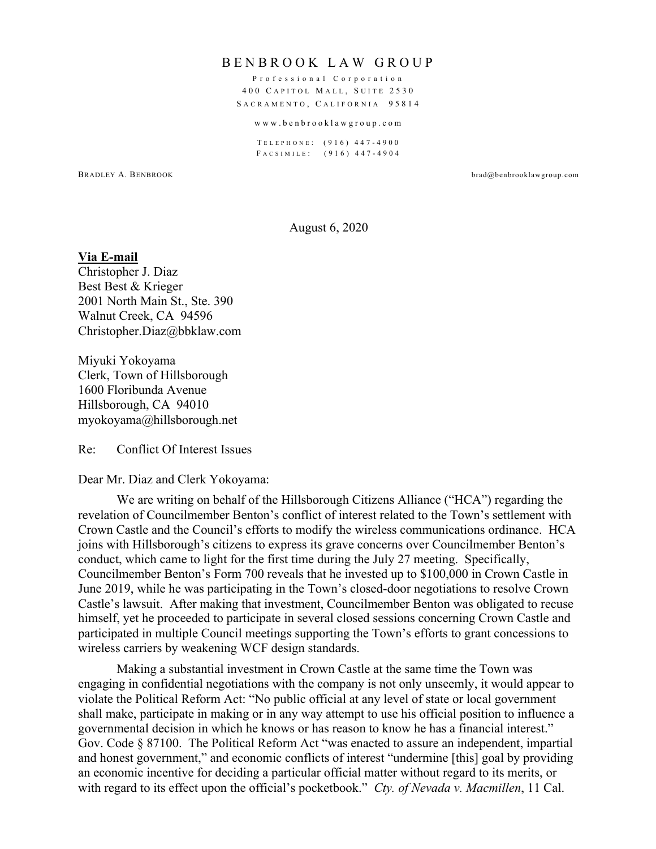#### B ENBROOK LAW GROUP

Professional Corporation 400 C APITOL M ALL , S UITE 2530 SACRAMENTO, CALIFORNIA 95814

#### www.benbrooklawgroup .com

T ELEPHONE : (916) 447 - 4900 F ACSIMILE : (916) 447 - 4904

BRADLEY A. BENBROOK brad@benbrooklawgroup.com

#### August 6, 2020

#### **Via E-mail**

Christopher J. Diaz Best Best & Krieger 2001 North Main St., Ste. 390 Walnut Creek, CA 94596 Christopher.Diaz@bbklaw.com

Miyuki Yokoyama Clerk, Town of Hillsborough 1600 Floribunda Avenue Hillsborough, CA 94010 myokoyama@hillsborough.net

Re: Conflict Of Interest Issues

#### Dear Mr. Diaz and Clerk Yokoyama:

We are writing on behalf of the Hillsborough Citizens Alliance ("HCA") regarding the revelation of Councilmember Benton's conflict of interest related to the Town's settlement with Crown Castle and the Council's efforts to modify the wireless communications ordinance. HCA joins with Hillsborough's citizens to express its grave concerns over Councilmember Benton's conduct, which came to light for the first time during the July 27 meeting. Specifically, Councilmember Benton's Form 700 reveals that he invested up to \$100,000 in Crown Castle in June 2019, while he was participating in the Town's closed-door negotiations to resolve Crown Castle's lawsuit. After making that investment, Councilmember Benton was obligated to recuse himself, yet he proceeded to participate in several closed sessions concerning Crown Castle and participated in multiple Council meetings supporting the Town's efforts to grant concessions to wireless carriers by weakening WCF design standards.

Making a substantial investment in Crown Castle at the same time the Town was engaging in confidential negotiations with the company is not only unseemly, it would appear to violate the Political Reform Act: "No public official at any level of state or local government shall make, participate in making or in any way attempt to use his official position to influence a governmental decision in which he knows or has reason to know he has a financial interest." Gov. Code § 87100. The Political Reform Act "was enacted to assure an independent, impartial and honest government," and economic conflicts of interest "undermine [this] goal by providing an economic incentive for deciding a particular official matter without regard to its merits, or with regard to its effect upon the official's pocketbook." *Cty. of Nevada v. Macmillen*, 11 Cal.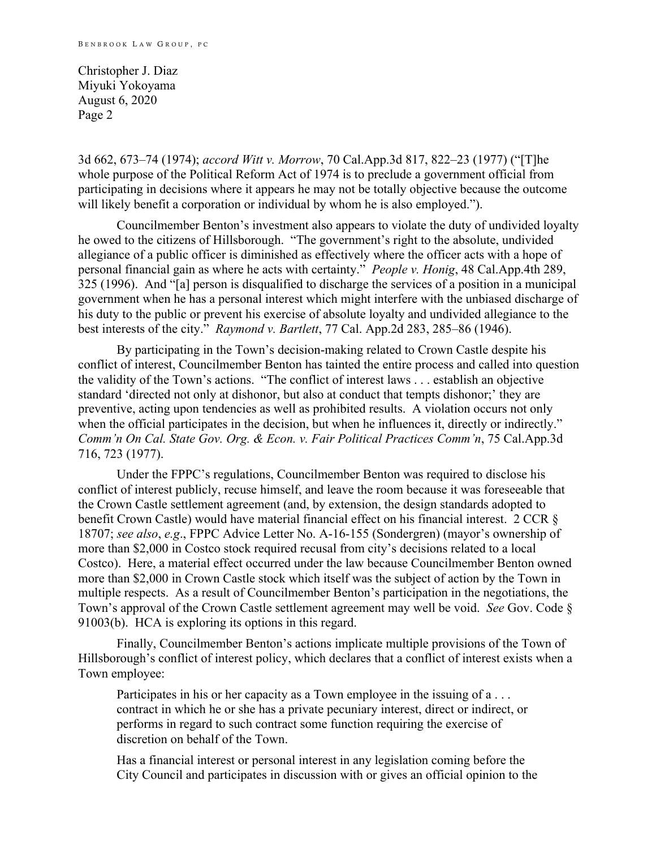Christopher J. Diaz Miyuki Yokoyama August 6, 2020 Page 2

3d 662, 673–74 (1974); *accord Witt v. Morrow*, 70 Cal.App.3d 817, 822–23 (1977) ("[T]he whole purpose of the Political Reform Act of 1974 is to preclude a government official from participating in decisions where it appears he may not be totally objective because the outcome will likely benefit a corporation or individual by whom he is also employed.").

Councilmember Benton's investment also appears to violate the duty of undivided loyalty he owed to the citizens of Hillsborough. "The government's right to the absolute, undivided allegiance of a public officer is diminished as effectively where the officer acts with a hope of personal financial gain as where he acts with certainty." *People v. Honig*, 48 Cal.App.4th 289, 325 (1996). And "[a] person is disqualified to discharge the services of a position in a municipal government when he has a personal interest which might interfere with the unbiased discharge of his duty to the public or prevent his exercise of absolute loyalty and undivided allegiance to the best interests of the city." *Raymond v. Bartlett*, 77 Cal. App.2d 283, 285–86 (1946).

By participating in the Town's decision-making related to Crown Castle despite his conflict of interest, Councilmember Benton has tainted the entire process and called into question the validity of the Town's actions. "The conflict of interest laws . . . establish an objective standard 'directed not only at dishonor, but also at conduct that tempts dishonor;' they are preventive, acting upon tendencies as well as prohibited results. A violation occurs not only when the official participates in the decision, but when he influences it, directly or indirectly." *Comm'n On Cal. State Gov. Org. & Econ. v. Fair Political Practices Comm'n*, 75 Cal.App.3d 716, 723 (1977).

Under the FPPC's regulations, Councilmember Benton was required to disclose his conflict of interest publicly, recuse himself, and leave the room because it was foreseeable that the Crown Castle settlement agreement (and, by extension, the design standards adopted to benefit Crown Castle) would have material financial effect on his financial interest. 2 CCR § 18707; *see also*, *e.g*., FPPC Advice Letter No. A-16-155 (Sondergren) (mayor's ownership of more than \$2,000 in Costco stock required recusal from city's decisions related to a local Costco). Here, a material effect occurred under the law because Councilmember Benton owned more than \$2,000 in Crown Castle stock which itself was the subject of action by the Town in multiple respects. As a result of Councilmember Benton's participation in the negotiations, the Town's approval of the Crown Castle settlement agreement may well be void. *See* Gov. Code § 91003(b). HCA is exploring its options in this regard.

Finally, Councilmember Benton's actions implicate multiple provisions of the Town of Hillsborough's conflict of interest policy, which declares that a conflict of interest exists when a Town employee:

Participates in his or her capacity as a Town employee in the issuing of a ... contract in which he or she has a private pecuniary interest, direct or indirect, or performs in regard to such contract some function requiring the exercise of discretion on behalf of the Town.

Has a financial interest or personal interest in any legislation coming before the City Council and participates in discussion with or gives an official opinion to the